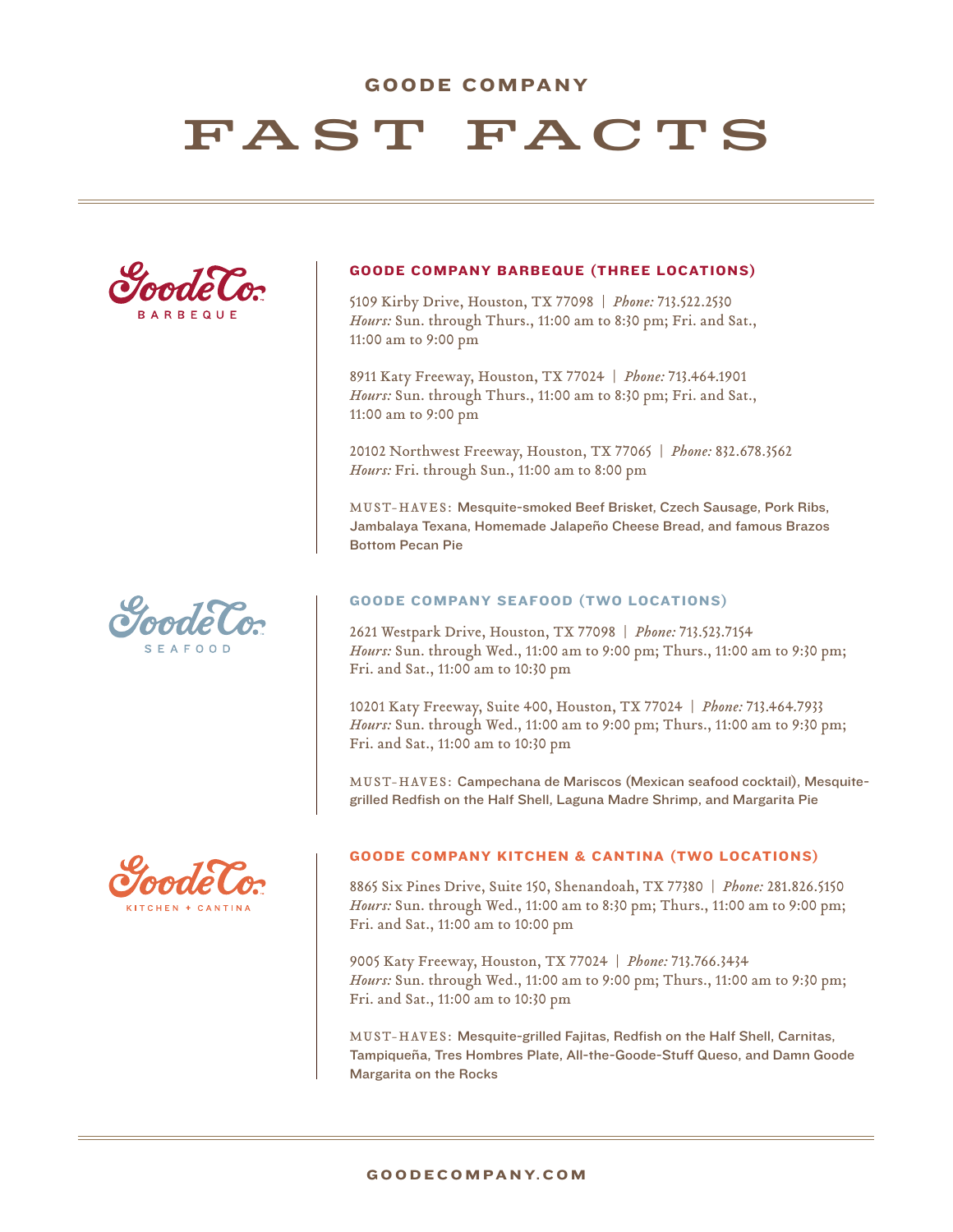# GOODE COMPANY

# FAST FACTS







#### GOODE COMPANY BARBEQUE (THREE LOCATIONS)

5109 Kirby Drive, Houston, TX 77098 | *Phone:* 713.522.2530 *Hours:* Sun. through Thurs., 11:00 am to 8:30 pm; Fri. and Sat., 11:00 am to 9:00 pm

8911 Katy Freeway, Houston, TX 77024 | *Phone:* 713.464.1901 *Hours:* Sun. through Thurs., 11:00 am to 8:30 pm; Fri. and Sat., 11:00 am to 9:00 pm

20102 Northwest Freeway, Houston, TX 77065 | *Phone:* 832.678.3562 *Hours:* Fri. through Sun., 11:00 am to 8:00 pm

MUST-HAVES: Mesquite-smoked Beef Brisket, Czech Sausage, Pork Ribs, Jambalaya Texana, Homemade Jalapeño Cheese Bread, and famous Brazos Bottom Pecan Pie

#### GOODE COMPANY SEAFOOD (TWO LOCATIONS)

2621 Westpark Drive, Houston, TX 77098 | *Phone:* 713.523.7154 *Hours:* Sun. through Wed., 11:00 am to 9:00 pm; Thurs., 11:00 am to 9:30 pm; Fri. and Sat., 11:00 am to 10:30 pm

10201 Katy Freeway, Suite 400, Houston, TX 77024 | *Phone:* 713.464.7933 *Hours:* Sun. through Wed., 11:00 am to 9:00 pm; Thurs., 11:00 am to 9:30 pm; Fri. and Sat., 11:00 am to 10:30 pm

MUST-HAVES: Campechana de Mariscos (Mexican seafood cocktail), Mesquitegrilled Redfish on the Half Shell, Laguna Madre Shrimp, and Margarita Pie

#### GOODE COMPANY KITCHEN & CANTINA (TWO LOCATIONS)

8865 Six Pines Drive, Suite 150, Shenandoah, TX 77380 | *Phone:* 281.826.5150 *Hours:* Sun. through Wed., 11:00 am to 8:30 pm; Thurs., 11:00 am to 9:00 pm; Fri. and Sat., 11:00 am to 10:00 pm

9005 Katy Freeway, Houston, TX 77024 | *Phone:* 713.766.3434 *Hours:* Sun. through Wed., 11:00 am to 9:00 pm; Thurs., 11:00 am to 9:30 pm; Fri. and Sat., 11:00 am to 10:30 pm

MUST-HAVES: Mesquite-grilled Fajitas, Redfish on the Half Shell, Carnitas, Tampiqueña, Tres Hombres Plate, All-the-Goode-Stuff Queso, and Damn Goode Margarita on the Rocks

#### G O O D E C O M PA N Y. C O M